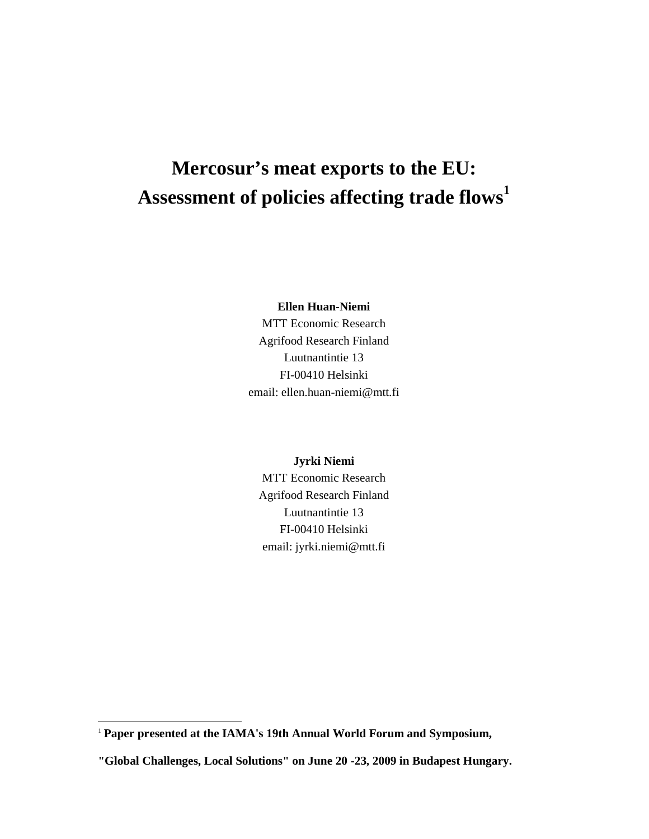# **Mercosur's meat exports to the EU: Assessment of policies affecting trade flows<sup>1</sup>**

**Ellen Huan-Niemi** 

MTT Economic Research Agrifood Research Finland Luutnantintie 13 FI-00410 Helsinki email: ellen.huan-niemi@mtt.fi

**Jyrki Niemi** 

MTT Economic Research Agrifood Research Finland Luutnantintie 13 FI-00410 Helsinki email: jyrki.niemi@mtt.fi

 $\overline{a}$ 

<sup>&</sup>lt;sup>1</sup> Paper presented at the IAMA's 19th Annual World Forum and Symposium,

**<sup>&</sup>quot;Global Challenges, Local Solutions" on June 20 -23, 2009 in Budapest Hungary.**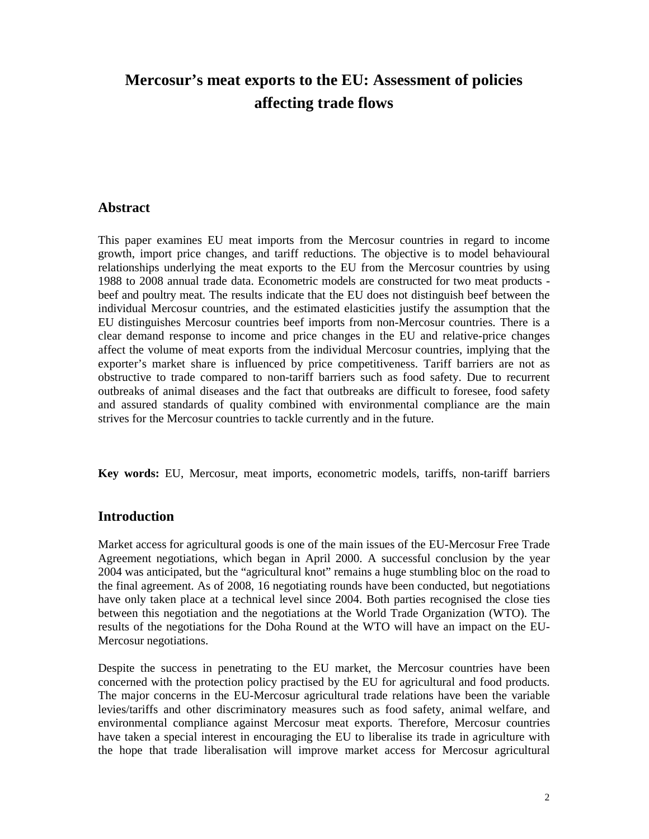## **Mercosur's meat exports to the EU: Assessment of policies affecting trade flows**

#### **Abstract**

This paper examines EU meat imports from the Mercosur countries in regard to income growth, import price changes, and tariff reductions. The objective is to model behavioural relationships underlying the meat exports to the EU from the Mercosur countries by using 1988 to 2008 annual trade data. Econometric models are constructed for two meat products beef and poultry meat. The results indicate that the EU does not distinguish beef between the individual Mercosur countries, and the estimated elasticities justify the assumption that the EU distinguishes Mercosur countries beef imports from non-Mercosur countries. There is a clear demand response to income and price changes in the EU and relative-price changes affect the volume of meat exports from the individual Mercosur countries, implying that the exporter's market share is influenced by price competitiveness. Tariff barriers are not as obstructive to trade compared to non-tariff barriers such as food safety. Due to recurrent outbreaks of animal diseases and the fact that outbreaks are difficult to foresee, food safety and assured standards of quality combined with environmental compliance are the main strives for the Mercosur countries to tackle currently and in the future.

**Key words:** EU, Mercosur, meat imports, econometric models, tariffs, non-tariff barriers

#### **Introduction**

Market access for agricultural goods is one of the main issues of the EU-Mercosur Free Trade Agreement negotiations, which began in April 2000. A successful conclusion by the year 2004 was anticipated, but the "agricultural knot" remains a huge stumbling bloc on the road to the final agreement. As of 2008, 16 negotiating rounds have been conducted, but negotiations have only taken place at a technical level since 2004. Both parties recognised the close ties between this negotiation and the negotiations at the World Trade Organization (WTO). The results of the negotiations for the Doha Round at the WTO will have an impact on the EU-Mercosur negotiations.

Despite the success in penetrating to the EU market, the Mercosur countries have been concerned with the protection policy practised by the EU for agricultural and food products. The major concerns in the EU-Mercosur agricultural trade relations have been the variable levies/tariffs and other discriminatory measures such as food safety, animal welfare, and environmental compliance against Mercosur meat exports. Therefore, Mercosur countries have taken a special interest in encouraging the EU to liberalise its trade in agriculture with the hope that trade liberalisation will improve market access for Mercosur agricultural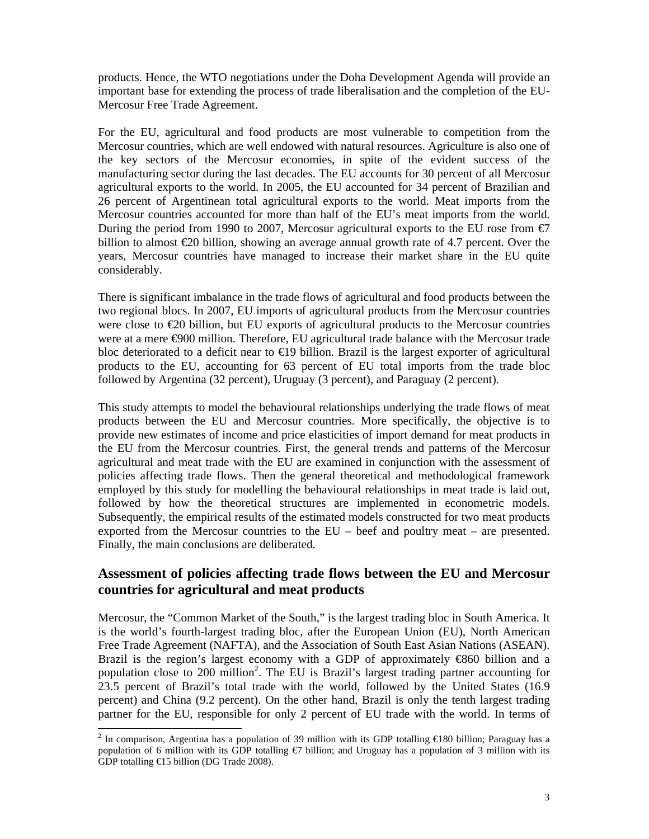products. Hence, the WTO negotiations under the Doha Development Agenda will provide an important base for extending the process of trade liberalisation and the completion of the EU-Mercosur Free Trade Agreement.

For the EU, agricultural and food products are most vulnerable to competition from the Mercosur countries, which are well endowed with natural resources. Agriculture is also one of the key sectors of the Mercosur economies, in spite of the evident success of the manufacturing sector during the last decades. The EU accounts for 30 percent of all Mercosur agricultural exports to the world. In 2005, the EU accounted for 34 percent of Brazilian and 26 percent of Argentinean total agricultural exports to the world. Meat imports from the Mercosur countries accounted for more than half of the EU's meat imports from the world. During the period from 1990 to 2007, Mercosur agricultural exports to the EU rose from  $\epsilon$ 7 billion to almost €20 billion, showing an average annual growth rate of 4.7 percent. Over the years, Mercosur countries have managed to increase their market share in the EU quite considerably.

There is significant imbalance in the trade flows of agricultural and food products between the two regional blocs. In 2007, EU imports of agricultural products from the Mercosur countries were close to €20 billion, but EU exports of agricultural products to the Mercosur countries were at a mere €900 million. Therefore, EU agricultural trade balance with the Mercosur trade bloc deteriorated to a deficit near to  $\epsilon$ 19 billion. Brazil is the largest exporter of agricultural products to the EU, accounting for 63 percent of EU total imports from the trade bloc followed by Argentina (32 percent), Uruguay (3 percent), and Paraguay (2 percent).

This study attempts to model the behavioural relationships underlying the trade flows of meat products between the EU and Mercosur countries. More specifically, the objective is to provide new estimates of income and price elasticities of import demand for meat products in the EU from the Mercosur countries. First, the general trends and patterns of the Mercosur agricultural and meat trade with the EU are examined in conjunction with the assessment of policies affecting trade flows. Then the general theoretical and methodological framework employed by this study for modelling the behavioural relationships in meat trade is laid out, followed by how the theoretical structures are implemented in econometric models. Subsequently, the empirical results of the estimated models constructed for two meat products exported from the Mercosur countries to the EU – beef and poultry meat – are presented. Finally, the main conclusions are deliberated.

### **Assessment of policies affecting trade flows between the EU and Mercosur countries for agricultural and meat products**

Mercosur, the "Common Market of the South," is the largest trading bloc in South America. It is the world's fourth-largest trading bloc, after the European Union (EU), North American Free Trade Agreement (NAFTA), and the Association of South East Asian Nations (ASEAN). Brazil is the region's largest economy with a GDP of approximately  $\epsilon$ 860 billion and a population close to 200 million<sup>2</sup>. The EU is Brazil's largest trading partner accounting for 23.5 percent of Brazil's total trade with the world, followed by the United States (16.9 percent) and China (9.2 percent). On the other hand, Brazil is only the tenth largest trading partner for the EU, responsible for only 2 percent of EU trade with the world. In terms of

 $\overline{a}$ <sup>2</sup> In comparison, Argentina has a population of 39 million with its GDP totalling  $\epsilon$ 180 billion; Paraguay has a population of 6 million with its GDP totalling €7 billion; and Uruguay has a population of 3 million with its GDP totalling  $\text{\textsterling}15$  billion (DG Trade 2008).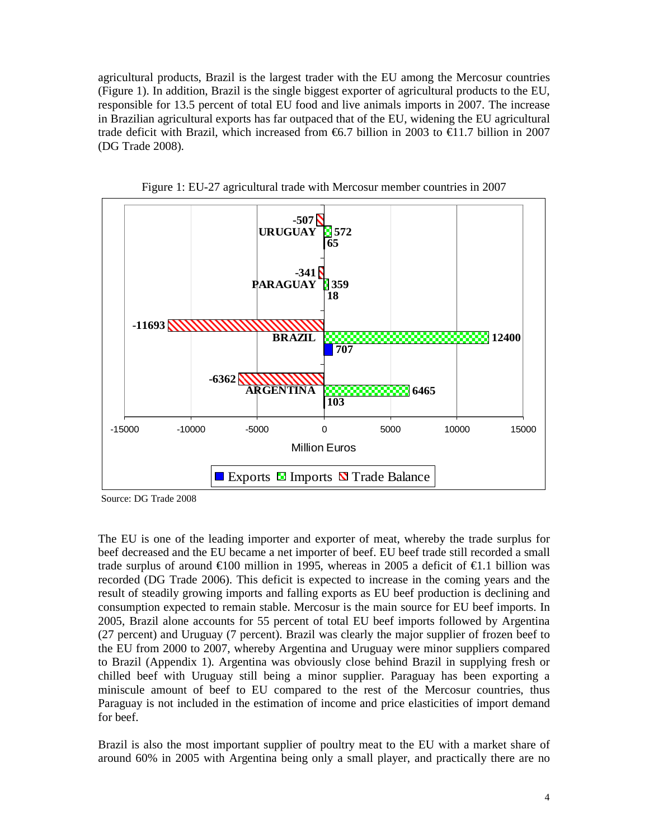agricultural products, Brazil is the largest trader with the EU among the Mercosur countries (Figure 1). In addition, Brazil is the single biggest exporter of agricultural products to the EU, responsible for 13.5 percent of total EU food and live animals imports in 2007. The increase in Brazilian agricultural exports has far outpaced that of the EU, widening the EU agricultural trade deficit with Brazil, which increased from  $\epsilon$ 6.7 billion in 2003 to  $\epsilon$ 11.7 billion in 2007 (DG Trade 2008).



Figure 1: EU-27 agricultural trade with Mercosur member countries in 2007

Source: DG Trade 2008

The EU is one of the leading importer and exporter of meat, whereby the trade surplus for beef decreased and the EU became a net importer of beef. EU beef trade still recorded a small trade surplus of around  $\epsilon$ 100 million in 1995, whereas in 2005 a deficit of  $\epsilon$ 1.1 billion was recorded (DG Trade 2006). This deficit is expected to increase in the coming years and the result of steadily growing imports and falling exports as EU beef production is declining and consumption expected to remain stable. Mercosur is the main source for EU beef imports. In 2005, Brazil alone accounts for 55 percent of total EU beef imports followed by Argentina (27 percent) and Uruguay (7 percent). Brazil was clearly the major supplier of frozen beef to the EU from 2000 to 2007, whereby Argentina and Uruguay were minor suppliers compared to Brazil (Appendix 1). Argentina was obviously close behind Brazil in supplying fresh or chilled beef with Uruguay still being a minor supplier. Paraguay has been exporting a miniscule amount of beef to EU compared to the rest of the Mercosur countries, thus Paraguay is not included in the estimation of income and price elasticities of import demand for beef.

Brazil is also the most important supplier of poultry meat to the EU with a market share of around 60% in 2005 with Argentina being only a small player, and practically there are no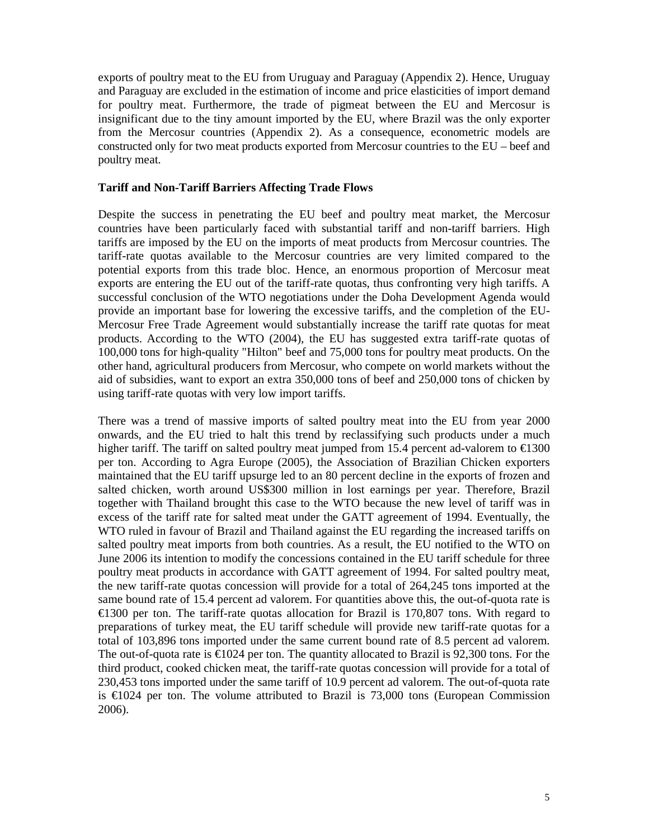exports of poultry meat to the EU from Uruguay and Paraguay (Appendix 2). Hence, Uruguay and Paraguay are excluded in the estimation of income and price elasticities of import demand for poultry meat. Furthermore, the trade of pigmeat between the EU and Mercosur is insignificant due to the tiny amount imported by the EU, where Brazil was the only exporter from the Mercosur countries (Appendix 2). As a consequence, econometric models are constructed only for two meat products exported from Mercosur countries to the EU – beef and poultry meat.

#### **Tariff and Non-Tariff Barriers Affecting Trade Flows**

Despite the success in penetrating the EU beef and poultry meat market, the Mercosur countries have been particularly faced with substantial tariff and non-tariff barriers. High tariffs are imposed by the EU on the imports of meat products from Mercosur countries. The tariff-rate quotas available to the Mercosur countries are very limited compared to the potential exports from this trade bloc. Hence, an enormous proportion of Mercosur meat exports are entering the EU out of the tariff-rate quotas, thus confronting very high tariffs. A successful conclusion of the WTO negotiations under the Doha Development Agenda would provide an important base for lowering the excessive tariffs, and the completion of the EU-Mercosur Free Trade Agreement would substantially increase the tariff rate quotas for meat products. According to the WTO (2004), the EU has suggested extra tariff-rate quotas of 100,000 tons for high-quality "Hilton" beef and 75,000 tons for poultry meat products. On the other hand, agricultural producers from Mercosur, who compete on world markets without the aid of subsidies, want to export an extra 350,000 tons of beef and 250,000 tons of chicken by using tariff-rate quotas with very low import tariffs.

There was a trend of massive imports of salted poultry meat into the EU from year 2000 onwards, and the EU tried to halt this trend by reclassifying such products under a much higher tariff. The tariff on salted poultry meat jumped from 15.4 percent ad-valorem to  $\epsilon$ 1300 per ton. According to Agra Europe (2005), the Association of Brazilian Chicken exporters maintained that the EU tariff upsurge led to an 80 percent decline in the exports of frozen and salted chicken, worth around US\$300 million in lost earnings per year. Therefore, Brazil together with Thailand brought this case to the WTO because the new level of tariff was in excess of the tariff rate for salted meat under the GATT agreement of 1994. Eventually, the WTO ruled in favour of Brazil and Thailand against the EU regarding the increased tariffs on salted poultry meat imports from both countries. As a result, the EU notified to the WTO on June 2006 its intention to modify the concessions contained in the EU tariff schedule for three poultry meat products in accordance with GATT agreement of 1994. For salted poultry meat, the new tariff-rate quotas concession will provide for a total of 264,245 tons imported at the same bound rate of 15.4 percent ad valorem. For quantities above this, the out-of-quota rate is €1300 per ton. The tariff-rate quotas allocation for Brazil is 170,807 tons. With regard to preparations of turkey meat, the EU tariff schedule will provide new tariff-rate quotas for a total of 103,896 tons imported under the same current bound rate of 8.5 percent ad valorem. The out-of-quota rate is  $\epsilon$ 1024 per ton. The quantity allocated to Brazil is 92,300 tons. For the third product, cooked chicken meat, the tariff-rate quotas concession will provide for a total of 230,453 tons imported under the same tariff of 10.9 percent ad valorem. The out-of-quota rate is  $\epsilon$ 1024 per ton. The volume attributed to Brazil is 73,000 tons (European Commission 2006).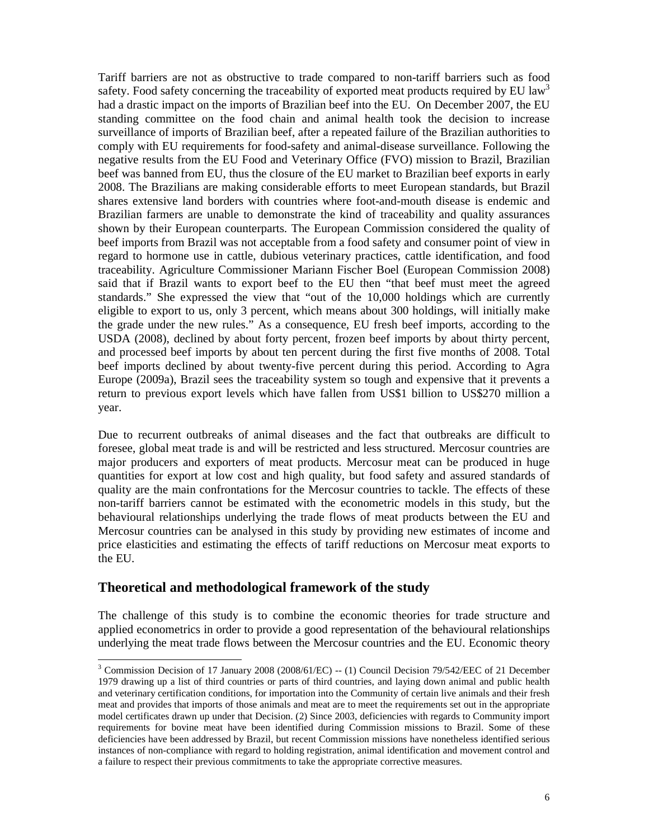Tariff barriers are not as obstructive to trade compared to non-tariff barriers such as food safety. Food safety concerning the traceability of exported meat products required by EU law<sup>3</sup> had a drastic impact on the imports of Brazilian beef into the EU. On December 2007, the EU standing committee on the food chain and animal health took the decision to increase surveillance of imports of Brazilian beef, after a repeated failure of the Brazilian authorities to comply with EU requirements for food-safety and animal-disease surveillance. Following the negative results from the EU Food and Veterinary Office (FVO) mission to Brazil, Brazilian beef was banned from EU, thus the closure of the EU market to Brazilian beef exports in early 2008. The Brazilians are making considerable efforts to meet European standards, but Brazil shares extensive land borders with countries where foot-and-mouth disease is endemic and Brazilian farmers are unable to demonstrate the kind of traceability and quality assurances shown by their European counterparts. The European Commission considered the quality of beef imports from Brazil was not acceptable from a food safety and consumer point of view in regard to hormone use in cattle, dubious veterinary practices, cattle identification, and food traceability. Agriculture Commissioner Mariann Fischer Boel (European Commission 2008) said that if Brazil wants to export beef to the EU then "that beef must meet the agreed standards." She expressed the view that "out of the 10,000 holdings which are currently eligible to export to us, only 3 percent, which means about 300 holdings, will initially make the grade under the new rules." As a consequence, EU fresh beef imports, according to the USDA (2008), declined by about forty percent, frozen beef imports by about thirty percent, and processed beef imports by about ten percent during the first five months of 2008. Total beef imports declined by about twenty-five percent during this period. According to Agra Europe (2009a), Brazil sees the traceability system so tough and expensive that it prevents a return to previous export levels which have fallen from US\$1 billion to US\$270 million a year.

Due to recurrent outbreaks of animal diseases and the fact that outbreaks are difficult to foresee, global meat trade is and will be restricted and less structured. Mercosur countries are major producers and exporters of meat products. Mercosur meat can be produced in huge quantities for export at low cost and high quality, but food safety and assured standards of quality are the main confrontations for the Mercosur countries to tackle. The effects of these non-tariff barriers cannot be estimated with the econometric models in this study, but the behavioural relationships underlying the trade flows of meat products between the EU and Mercosur countries can be analysed in this study by providing new estimates of income and price elasticities and estimating the effects of tariff reductions on Mercosur meat exports to the EU.

### **Theoretical and methodological framework of the study**

 $\overline{a}$ 

The challenge of this study is to combine the economic theories for trade structure and applied econometrics in order to provide a good representation of the behavioural relationships underlying the meat trade flows between the Mercosur countries and the EU. Economic theory

<sup>&</sup>lt;sup>3</sup> Commission Decision of 17 January 2008 (2008/61/EC) -- (1) Council Decision 79/542/EEC of 21 December 1979 drawing up a list of third countries or parts of third countries, and laying down animal and public health and veterinary certification conditions, for importation into the Community of certain live animals and their fresh meat and provides that imports of those animals and meat are to meet the requirements set out in the appropriate model certificates drawn up under that Decision. (2) Since 2003, deficiencies with regards to Community import requirements for bovine meat have been identified during Commission missions to Brazil. Some of these deficiencies have been addressed by Brazil, but recent Commission missions have nonetheless identified serious instances of non-compliance with regard to holding registration, animal identification and movement control and a failure to respect their previous commitments to take the appropriate corrective measures.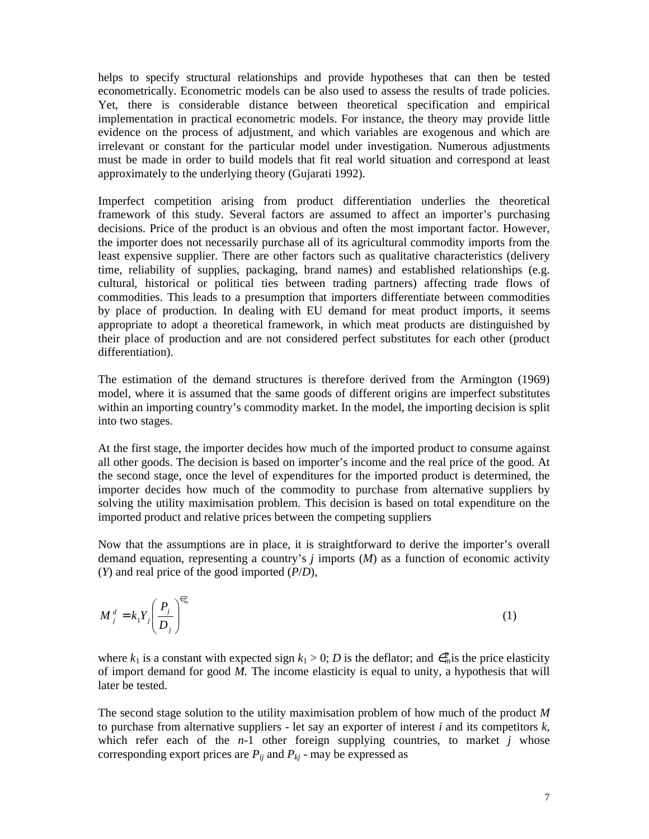helps to specify structural relationships and provide hypotheses that can then be tested econometrically. Econometric models can be also used to assess the results of trade policies. Yet, there is considerable distance between theoretical specification and empirical implementation in practical econometric models. For instance, the theory may provide little evidence on the process of adjustment, and which variables are exogenous and which are irrelevant or constant for the particular model under investigation. Numerous adjustments must be made in order to build models that fit real world situation and correspond at least approximately to the underlying theory (Gujarati 1992).

Imperfect competition arising from product differentiation underlies the theoretical framework of this study. Several factors are assumed to affect an importer's purchasing decisions. Price of the product is an obvious and often the most important factor. However, the importer does not necessarily purchase all of its agricultural commodity imports from the least expensive supplier. There are other factors such as qualitative characteristics (delivery time, reliability of supplies, packaging, brand names) and established relationships (e.g. cultural, historical or political ties between trading partners) affecting trade flows of commodities. This leads to a presumption that importers differentiate between commodities by place of production. In dealing with EU demand for meat product imports, it seems appropriate to adopt a theoretical framework, in which meat products are distinguished by their place of production and are not considered perfect substitutes for each other (product differentiation).

The estimation of the demand structures is therefore derived from the Armington (1969) model, where it is assumed that the same goods of different origins are imperfect substitutes within an importing country's commodity market. In the model, the importing decision is split into two stages.

At the first stage, the importer decides how much of the imported product to consume against all other goods. The decision is based on importer's income and the real price of the good. At the second stage, once the level of expenditures for the imported product is determined, the importer decides how much of the commodity to purchase from alternative suppliers by solving the utility maximisation problem. This decision is based on total expenditure on the imported product and relative prices between the competing suppliers

Now that the assumptions are in place, it is straightforward to derive the importer's overall demand equation, representing a country's *j* imports (*M*) as a function of economic activity (*Y*) and real price of the good imported (*P*/*D*),

$$
M_j^d = k_1 Y_j \left(\frac{P_j}{D_j}\right)^{\epsilon_m^p} \tag{1}
$$

where  $k_1$  is a constant with expected sign  $k_1 > 0$ ; *D* is the deflator; and  $\epsilon_m^p$  is the price elasticity of import demand for good *M.* The income elasticity is equal to unity, a hypothesis that will later be tested.

The second stage solution to the utility maximisation problem of how much of the product *M* to purchase from alternative suppliers - let say an exporter of interest *i* and its competitors *k*, which refer each of the  $n-1$  other foreign supplying countries, to market *j* whose corresponding export prices are  $P_{ij}$  and  $P_{kj}$  - may be expressed as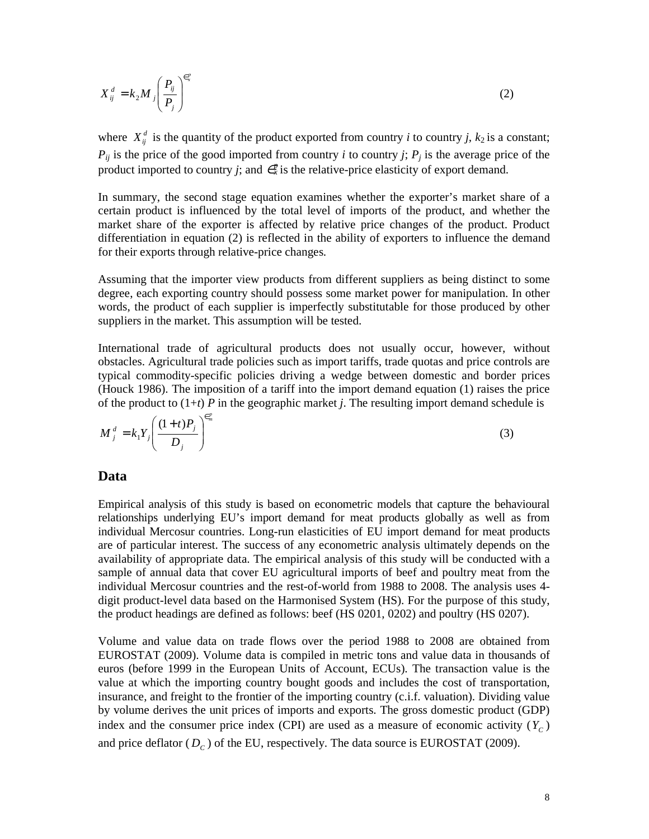$$
X_{ij}^d = k_2 M_j \left(\frac{P_{ij}}{P_j}\right)^{\epsilon_x^p}
$$
 (2)

where  $X_{ij}^d$  is the quantity of the product exported from country *i* to country *j*,  $k_2$  is a constant;  $P_{ij}$  is the price of the good imported from country *i* to country *j*;  $P_j$  is the average price of the product imported to country *j*; and  $\epsilon^p$  is the relative-price elasticity of export demand.

In summary, the second stage equation examines whether the exporter's market share of a certain product is influenced by the total level of imports of the product, and whether the market share of the exporter is affected by relative price changes of the product. Product differentiation in equation (2) is reflected in the ability of exporters to influence the demand for their exports through relative-price changes.

Assuming that the importer view products from different suppliers as being distinct to some degree, each exporting country should possess some market power for manipulation. In other words, the product of each supplier is imperfectly substitutable for those produced by other suppliers in the market. This assumption will be tested.

International trade of agricultural products does not usually occur, however, without obstacles. Agricultural trade policies such as import tariffs, trade quotas and price controls are typical commodity-specific policies driving a wedge between domestic and border prices (Houck 1986). The imposition of a tariff into the import demand equation (1) raises the price of the product to  $(1+t)$  *P* in the geographic market *j*. The resulting import demand schedule is

$$
M_j^d = k_1 Y_j \left(\frac{(1+t)P_j}{D_j}\right)^{\epsilon_m^p}
$$
\n(3)

#### **Data**

Empirical analysis of this study is based on econometric models that capture the behavioural relationships underlying EU's import demand for meat products globally as well as from individual Mercosur countries. Long-run elasticities of EU import demand for meat products are of particular interest. The success of any econometric analysis ultimately depends on the availability of appropriate data. The empirical analysis of this study will be conducted with a sample of annual data that cover EU agricultural imports of beef and poultry meat from the individual Mercosur countries and the rest-of-world from 1988 to 2008. The analysis uses 4 digit product-level data based on the Harmonised System (HS). For the purpose of this study, the product headings are defined as follows: beef (HS 0201, 0202) and poultry (HS 0207).

Volume and value data on trade flows over the period 1988 to 2008 are obtained from EUROSTAT (2009). Volume data is compiled in metric tons and value data in thousands of euros (before 1999 in the European Units of Account, ECUs). The transaction value is the value at which the importing country bought goods and includes the cost of transportation, insurance, and freight to the frontier of the importing country (c.i.f. valuation). Dividing value by volume derives the unit prices of imports and exports. The gross domestic product (GDP) index and the consumer price index (CPI) are used as a measure of economic activity  $(Y_C)$ and price deflator  $(D_c)$  of the EU, respectively. The data source is EUROSTAT (2009).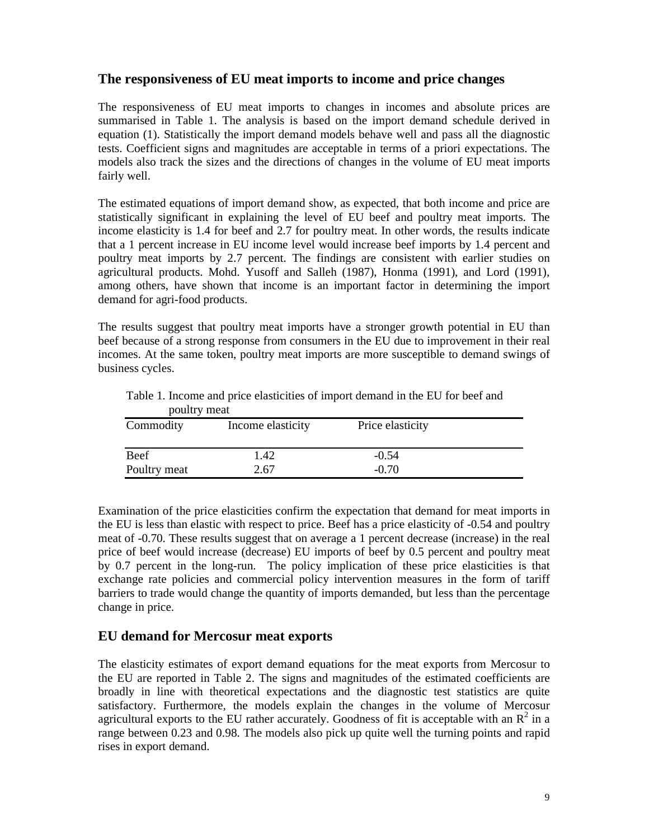### **The responsiveness of EU meat imports to income and price changes**

The responsiveness of EU meat imports to changes in incomes and absolute prices are summarised in Table 1. The analysis is based on the import demand schedule derived in equation (1). Statistically the import demand models behave well and pass all the diagnostic tests. Coefficient signs and magnitudes are acceptable in terms of a priori expectations. The models also track the sizes and the directions of changes in the volume of EU meat imports fairly well.

The estimated equations of import demand show, as expected, that both income and price are statistically significant in explaining the level of EU beef and poultry meat imports. The income elasticity is 1.4 for beef and 2.7 for poultry meat. In other words, the results indicate that a 1 percent increase in EU income level would increase beef imports by 1.4 percent and poultry meat imports by 2.7 percent. The findings are consistent with earlier studies on agricultural products. Mohd. Yusoff and Salleh (1987), Honma (1991), and Lord (1991), among others, have shown that income is an important factor in determining the import demand for agri-food products.

The results suggest that poultry meat imports have a stronger growth potential in EU than beef because of a strong response from consumers in the EU due to improvement in their real incomes. At the same token, poultry meat imports are more susceptible to demand swings of business cycles.

| poultry meat |                   |                  |  |  |  |
|--------------|-------------------|------------------|--|--|--|
| Commodity    | Income elasticity | Price elasticity |  |  |  |
|              |                   |                  |  |  |  |
| Beef         | 1.42              | $-0.54$          |  |  |  |
| Poultry meat | 2.67              | $-0.70$          |  |  |  |

Table 1. Income and price elasticities of import demand in the EU for beef and

Examination of the price elasticities confirm the expectation that demand for meat imports in the EU is less than elastic with respect to price. Beef has a price elasticity of -0.54 and poultry meat of -0.70. These results suggest that on average a 1 percent decrease (increase) in the real price of beef would increase (decrease) EU imports of beef by 0.5 percent and poultry meat by 0.7 percent in the long-run. The policy implication of these price elasticities is that exchange rate policies and commercial policy intervention measures in the form of tariff barriers to trade would change the quantity of imports demanded, but less than the percentage change in price.

#### **EU demand for Mercosur meat exports**

The elasticity estimates of export demand equations for the meat exports from Mercosur to the EU are reported in Table 2. The signs and magnitudes of the estimated coefficients are broadly in line with theoretical expectations and the diagnostic test statistics are quite satisfactory. Furthermore, the models explain the changes in the volume of Mercosur agricultural exports to the EU rather accurately. Goodness of fit is acceptable with an  $\mathbb{R}^2$  in a range between 0.23 and 0.98. The models also pick up quite well the turning points and rapid rises in export demand.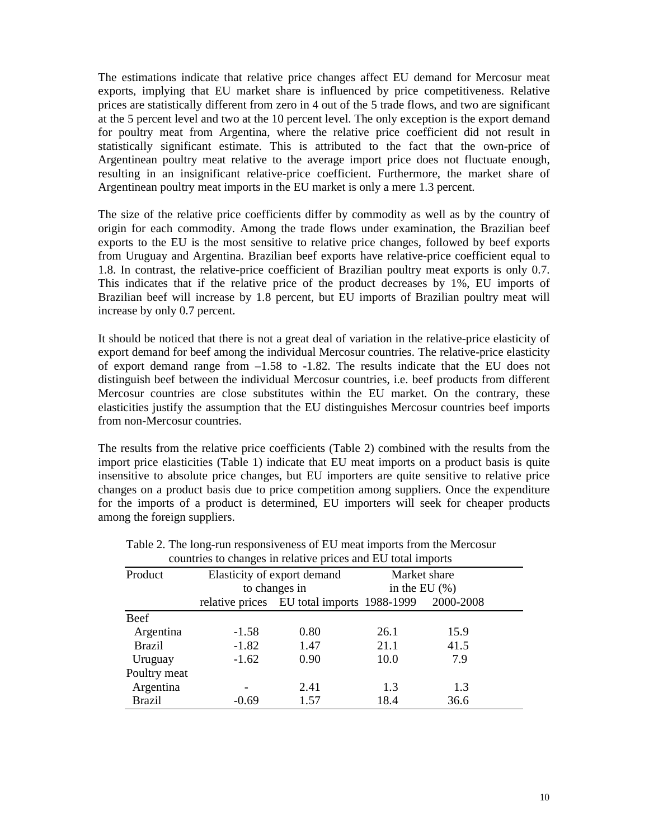The estimations indicate that relative price changes affect EU demand for Mercosur meat exports, implying that EU market share is influenced by price competitiveness. Relative prices are statistically different from zero in 4 out of the 5 trade flows, and two are significant at the 5 percent level and two at the 10 percent level. The only exception is the export demand for poultry meat from Argentina, where the relative price coefficient did not result in statistically significant estimate. This is attributed to the fact that the own-price of Argentinean poultry meat relative to the average import price does not fluctuate enough, resulting in an insignificant relative-price coefficient. Furthermore, the market share of Argentinean poultry meat imports in the EU market is only a mere 1.3 percent.

The size of the relative price coefficients differ by commodity as well as by the country of origin for each commodity. Among the trade flows under examination, the Brazilian beef exports to the EU is the most sensitive to relative price changes, followed by beef exports from Uruguay and Argentina. Brazilian beef exports have relative-price coefficient equal to 1.8. In contrast, the relative-price coefficient of Brazilian poultry meat exports is only 0.7. This indicates that if the relative price of the product decreases by 1%, EU imports of Brazilian beef will increase by 1.8 percent, but EU imports of Brazilian poultry meat will increase by only 0.7 percent.

It should be noticed that there is not a great deal of variation in the relative-price elasticity of export demand for beef among the individual Mercosur countries. The relative-price elasticity of export demand range from –1.58 to -1.82. The results indicate that the EU does not distinguish beef between the individual Mercosur countries, i.e. beef products from different Mercosur countries are close substitutes within the EU market. On the contrary, these elasticities justify the assumption that the EU distinguishes Mercosur countries beef imports from non-Mercosur countries.

The results from the relative price coefficients (Table 2) combined with the results from the import price elasticities (Table 1) indicate that EU meat imports on a product basis is quite insensitive to absolute price changes, but EU importers are quite sensitive to relative price changes on a product basis due to price competition among suppliers. Once the expenditure for the imports of a product is determined, EU importers will seek for cheaper products among the foreign suppliers.

| Product       | Elasticity of export demand<br>to changes in |                                            | Market share<br>in the EU $(\% )$ |           |
|---------------|----------------------------------------------|--------------------------------------------|-----------------------------------|-----------|
|               |                                              |                                            |                                   |           |
|               |                                              | relative prices EU total imports 1988-1999 |                                   | 2000-2008 |
| Beef          |                                              |                                            |                                   |           |
| Argentina     | $-1.58$                                      | 0.80                                       | 26.1                              | 15.9      |
| <b>Brazil</b> | $-1.82$                                      | 1.47                                       | 21.1                              | 41.5      |
| Uruguay       | $-1.62$                                      | 0.90                                       | 10.0                              | 7.9       |
| Poultry meat  |                                              |                                            |                                   |           |
| Argentina     |                                              | 2.41                                       | 1.3                               | 1.3       |
| <b>Brazil</b> | $-0.69$                                      | 1.57                                       | 18.4                              | 36.6      |

| Table 2. The long-run responsiveness of EU meat imports from the Mercosur |
|---------------------------------------------------------------------------|
| countries to changes in relative prices and EU total imports              |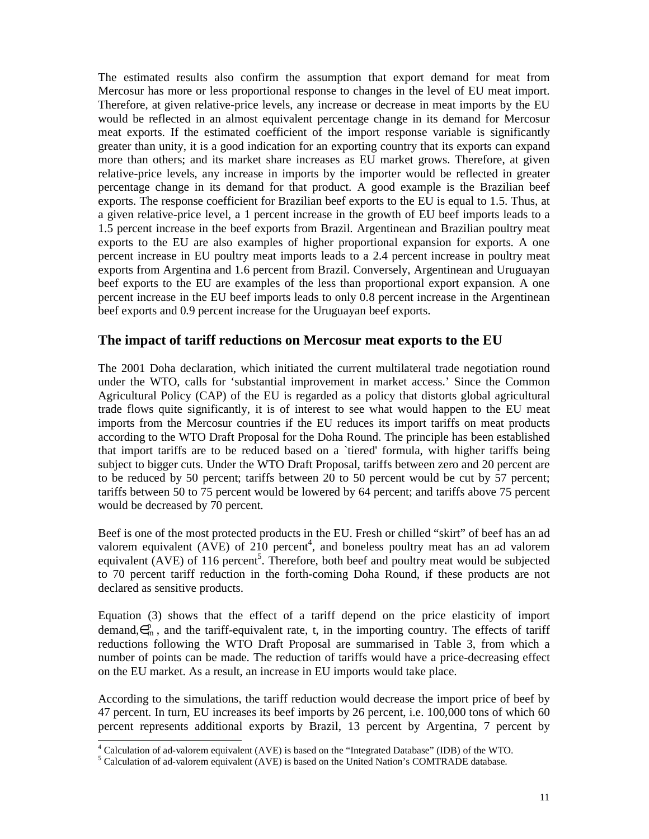The estimated results also confirm the assumption that export demand for meat from Mercosur has more or less proportional response to changes in the level of EU meat import. Therefore, at given relative-price levels, any increase or decrease in meat imports by the EU would be reflected in an almost equivalent percentage change in its demand for Mercosur meat exports. If the estimated coefficient of the import response variable is significantly greater than unity, it is a good indication for an exporting country that its exports can expand more than others; and its market share increases as EU market grows. Therefore, at given relative-price levels, any increase in imports by the importer would be reflected in greater percentage change in its demand for that product. A good example is the Brazilian beef exports. The response coefficient for Brazilian beef exports to the EU is equal to 1.5. Thus, at a given relative-price level, a 1 percent increase in the growth of EU beef imports leads to a 1.5 percent increase in the beef exports from Brazil. Argentinean and Brazilian poultry meat exports to the EU are also examples of higher proportional expansion for exports. A one percent increase in EU poultry meat imports leads to a 2.4 percent increase in poultry meat exports from Argentina and 1.6 percent from Brazil. Conversely, Argentinean and Uruguayan beef exports to the EU are examples of the less than proportional export expansion. A one percent increase in the EU beef imports leads to only 0.8 percent increase in the Argentinean beef exports and 0.9 percent increase for the Uruguayan beef exports.

#### **The impact of tariff reductions on Mercosur meat exports to the EU**

The 2001 Doha declaration, which initiated the current multilateral trade negotiation round under the WTO, calls for 'substantial improvement in market access.' Since the Common Agricultural Policy (CAP) of the EU is regarded as a policy that distorts global agricultural trade flows quite significantly, it is of interest to see what would happen to the EU meat imports from the Mercosur countries if the EU reduces its import tariffs on meat products according to the WTO Draft Proposal for the Doha Round. The principle has been established that import tariffs are to be reduced based on a `tiered' formula, with higher tariffs being subject to bigger cuts. Under the WTO Draft Proposal, tariffs between zero and 20 percent are to be reduced by 50 percent; tariffs between 20 to 50 percent would be cut by 57 percent; tariffs between 50 to 75 percent would be lowered by 64 percent; and tariffs above 75 percent would be decreased by 70 percent.

Beef is one of the most protected products in the EU. Fresh or chilled "skirt" of beef has an ad valorem equivalent ( $\widehat{AVE}$ ) of 210 percent<sup>4</sup>, and boneless poultry meat has an ad valorem equivalent (AVE) of 116 percent<sup>5</sup>. Therefore, both beef and poultry meat would be subjected to 70 percent tariff reduction in the forth-coming Doha Round, if these products are not declared as sensitive products.

Equation (3) shows that the effect of a tariff depend on the price elasticity of import demand, $\in_{m}^{p}$ , and the tariff-equivalent rate, t, in the importing country. The effects of tariff reductions following the WTO Draft Proposal are summarised in Table 3, from which a number of points can be made. The reduction of tariffs would have a price-decreasing effect on the EU market. As a result, an increase in EU imports would take place.

According to the simulations, the tariff reduction would decrease the import price of beef by 47 percent. In turn, EU increases its beef imports by 26 percent, i.e. 100,000 tons of which 60 percent represents additional exports by Brazil, 13 percent by Argentina, 7 percent by

 $\overline{a}$ 

<sup>&</sup>lt;sup>4</sup> Calculation of ad-valorem equivalent (AVE) is based on the "Integrated Database" (IDB) of the WTO.

<sup>&</sup>lt;sup>5</sup> Calculation of ad-valorem equivalent (AVE) is based on the United Nation's COMTRADE database.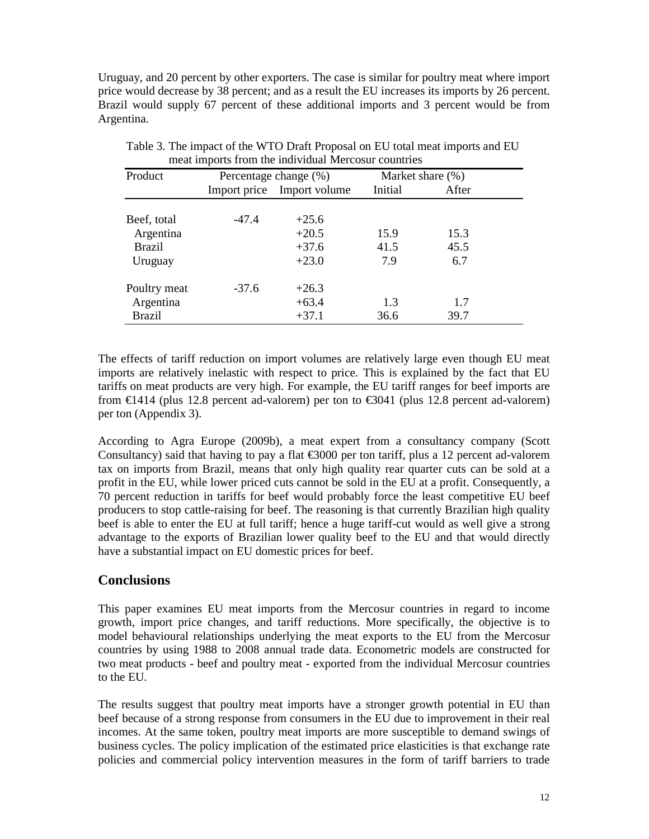Uruguay, and 20 percent by other exporters. The case is similar for poultry meat where import price would decrease by 38 percent; and as a result the EU increases its imports by 26 percent. Brazil would supply 67 percent of these additional imports and 3 percent would be from Argentina.

| Product       | Percentage change (%) |                            | Market share $(\%)$ |       |
|---------------|-----------------------|----------------------------|---------------------|-------|
|               |                       | Import price Import volume | Initial             | After |
| Beef, total   | $-47.4$               | $+25.6$                    |                     |       |
| Argentina     |                       | $+20.5$                    | 15.9                | 15.3  |
| <b>Brazil</b> |                       | $+37.6$                    | 41.5                | 45.5  |
| Uruguay       |                       | $+23.0$                    | 7.9                 | 6.7   |
| Poultry meat  | $-37.6$               | $+26.3$                    |                     |       |
| Argentina     |                       | $+63.4$                    | 1.3                 | 1.7   |
| <b>Brazil</b> |                       | $+37.1$                    | 36.6                | 39.7  |

Table 3. The impact of the WTO Draft Proposal on EU total meat imports and EU meat imports from the individual Mercosur countries

The effects of tariff reduction on import volumes are relatively large even though EU meat imports are relatively inelastic with respect to price. This is explained by the fact that EU tariffs on meat products are very high. For example, the EU tariff ranges for beef imports are from  $\epsilon$ 1414 (plus 12.8 percent ad-valorem) per ton to  $\epsilon$ 3041 (plus 12.8 percent ad-valorem) per ton (Appendix 3).

According to Agra Europe (2009b), a meat expert from a consultancy company (Scott Consultancy) said that having to pay a flat  $\epsilon$ 3000 per ton tariff, plus a 12 percent ad-valorem tax on imports from Brazil, means that only high quality rear quarter cuts can be sold at a profit in the EU, while lower priced cuts cannot be sold in the EU at a profit. Consequently, a 70 percent reduction in tariffs for beef would probably force the least competitive EU beef producers to stop cattle-raising for beef. The reasoning is that currently Brazilian high quality beef is able to enter the EU at full tariff; hence a huge tariff-cut would as well give a strong advantage to the exports of Brazilian lower quality beef to the EU and that would directly have a substantial impact on EU domestic prices for beef.

### **Conclusions**

This paper examines EU meat imports from the Mercosur countries in regard to income growth, import price changes, and tariff reductions. More specifically, the objective is to model behavioural relationships underlying the meat exports to the EU from the Mercosur countries by using 1988 to 2008 annual trade data. Econometric models are constructed for two meat products - beef and poultry meat - exported from the individual Mercosur countries to the EU.

The results suggest that poultry meat imports have a stronger growth potential in EU than beef because of a strong response from consumers in the EU due to improvement in their real incomes. At the same token, poultry meat imports are more susceptible to demand swings of business cycles. The policy implication of the estimated price elasticities is that exchange rate policies and commercial policy intervention measures in the form of tariff barriers to trade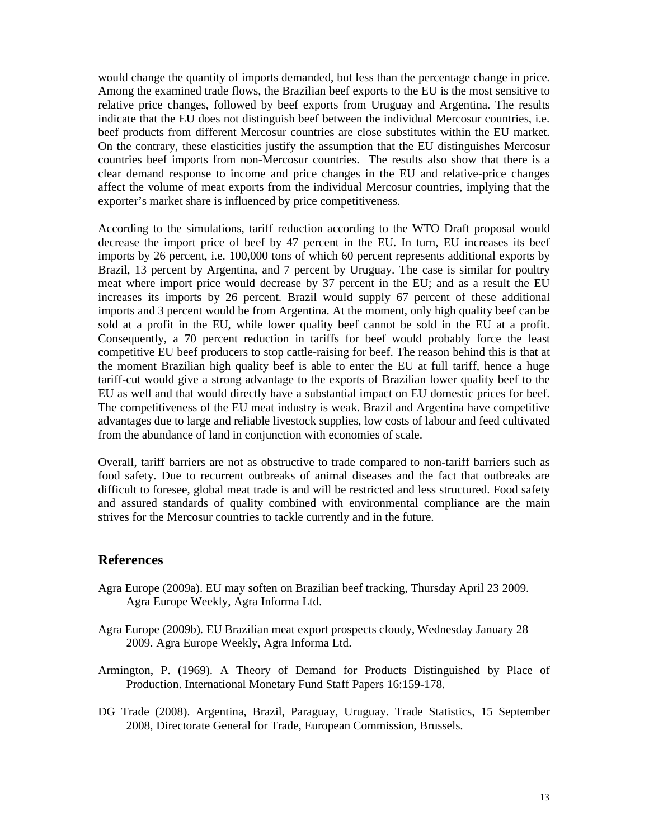would change the quantity of imports demanded, but less than the percentage change in price. Among the examined trade flows, the Brazilian beef exports to the EU is the most sensitive to relative price changes, followed by beef exports from Uruguay and Argentina. The results indicate that the EU does not distinguish beef between the individual Mercosur countries, i.e. beef products from different Mercosur countries are close substitutes within the EU market. On the contrary, these elasticities justify the assumption that the EU distinguishes Mercosur countries beef imports from non-Mercosur countries. The results also show that there is a clear demand response to income and price changes in the EU and relative-price changes affect the volume of meat exports from the individual Mercosur countries, implying that the exporter's market share is influenced by price competitiveness.

According to the simulations, tariff reduction according to the WTO Draft proposal would decrease the import price of beef by 47 percent in the EU. In turn, EU increases its beef imports by 26 percent, i.e. 100,000 tons of which 60 percent represents additional exports by Brazil, 13 percent by Argentina, and 7 percent by Uruguay. The case is similar for poultry meat where import price would decrease by 37 percent in the EU; and as a result the EU increases its imports by 26 percent. Brazil would supply 67 percent of these additional imports and 3 percent would be from Argentina. At the moment, only high quality beef can be sold at a profit in the EU, while lower quality beef cannot be sold in the EU at a profit. Consequently, a 70 percent reduction in tariffs for beef would probably force the least competitive EU beef producers to stop cattle-raising for beef. The reason behind this is that at the moment Brazilian high quality beef is able to enter the EU at full tariff, hence a huge tariff-cut would give a strong advantage to the exports of Brazilian lower quality beef to the EU as well and that would directly have a substantial impact on EU domestic prices for beef. The competitiveness of the EU meat industry is weak. Brazil and Argentina have competitive advantages due to large and reliable livestock supplies, low costs of labour and feed cultivated from the abundance of land in conjunction with economies of scale.

Overall, tariff barriers are not as obstructive to trade compared to non-tariff barriers such as food safety. Due to recurrent outbreaks of animal diseases and the fact that outbreaks are difficult to foresee, global meat trade is and will be restricted and less structured. Food safety and assured standards of quality combined with environmental compliance are the main strives for the Mercosur countries to tackle currently and in the future.

#### **References**

- Agra Europe (2009a). EU may soften on Brazilian beef tracking, Thursday April 23 2009. Agra Europe Weekly, Agra Informa Ltd.
- Agra Europe (2009b). EU Brazilian meat export prospects cloudy, Wednesday January 28 2009. Agra Europe Weekly, Agra Informa Ltd.
- Armington, P. (1969). A Theory of Demand for Products Distinguished by Place of Production. International Monetary Fund Staff Papers 16:159-178.
- DG Trade (2008). Argentina, Brazil, Paraguay, Uruguay. Trade Statistics, 15 September 2008, Directorate General for Trade, European Commission, Brussels.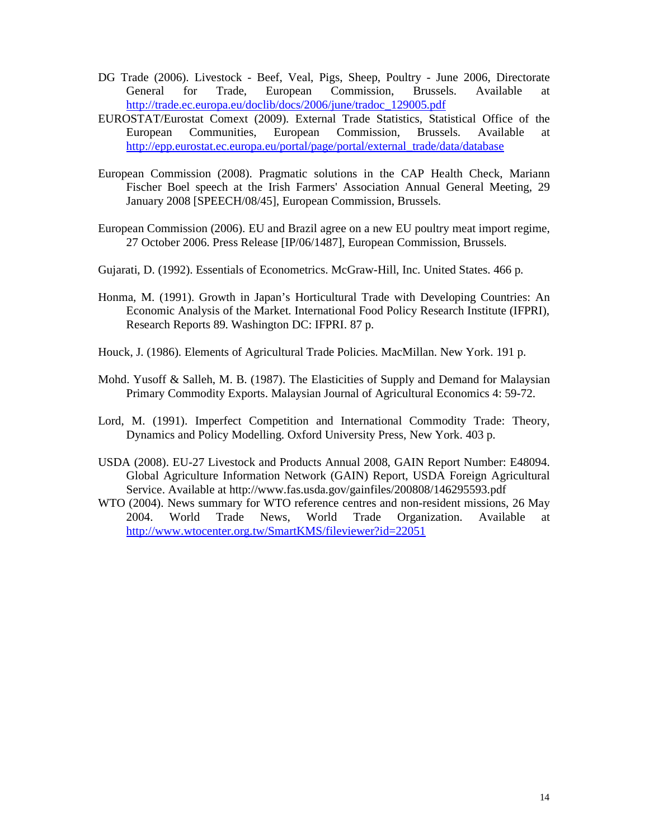- DG Trade (2006). Livestock Beef, Veal, Pigs, Sheep, Poultry June 2006, Directorate General for Trade, European Commission, Brussels. Available at http://trade.ec.europa.eu/doclib/docs/2006/june/tradoc\_129005.pdf
- EUROSTAT/Eurostat Comext (2009). External Trade Statistics, Statistical Office of the European Communities, European Commission, Brussels. Available at http://epp.eurostat.ec.europa.eu/portal/page/portal/external\_trade/data/database
- European Commission (2008). Pragmatic solutions in the CAP Health Check, Mariann Fischer Boel speech at the Irish Farmers' Association Annual General Meeting, 29 January 2008 [SPEECH/08/45], European Commission, Brussels.
- European Commission (2006). EU and Brazil agree on a new EU poultry meat import regime, 27 October 2006. Press Release [IP/06/1487], European Commission, Brussels.
- Gujarati, D. (1992). Essentials of Econometrics. McGraw-Hill, Inc. United States. 466 p.
- Honma, M. (1991). Growth in Japan's Horticultural Trade with Developing Countries: An Economic Analysis of the Market. International Food Policy Research Institute (IFPRI), Research Reports 89. Washington DC: IFPRI. 87 p.
- Houck, J. (1986). Elements of Agricultural Trade Policies. MacMillan. New York. 191 p.
- Mohd. Yusoff & Salleh, M. B. (1987). The Elasticities of Supply and Demand for Malaysian Primary Commodity Exports. Malaysian Journal of Agricultural Economics 4: 59-72.
- Lord, M. (1991). Imperfect Competition and International Commodity Trade: Theory, Dynamics and Policy Modelling. Oxford University Press, New York. 403 p.
- USDA (2008). EU-27 Livestock and Products Annual 2008, GAIN Report Number: E48094. Global Agriculture Information Network (GAIN) Report, USDA Foreign Agricultural Service. Available at http://www.fas.usda.gov/gainfiles/200808/146295593.pdf
- WTO (2004). News summary for WTO reference centres and non-resident missions, 26 May 2004. World Trade News, World Trade Organization. Available at http://www.wtocenter.org.tw/SmartKMS/fileviewer?id=22051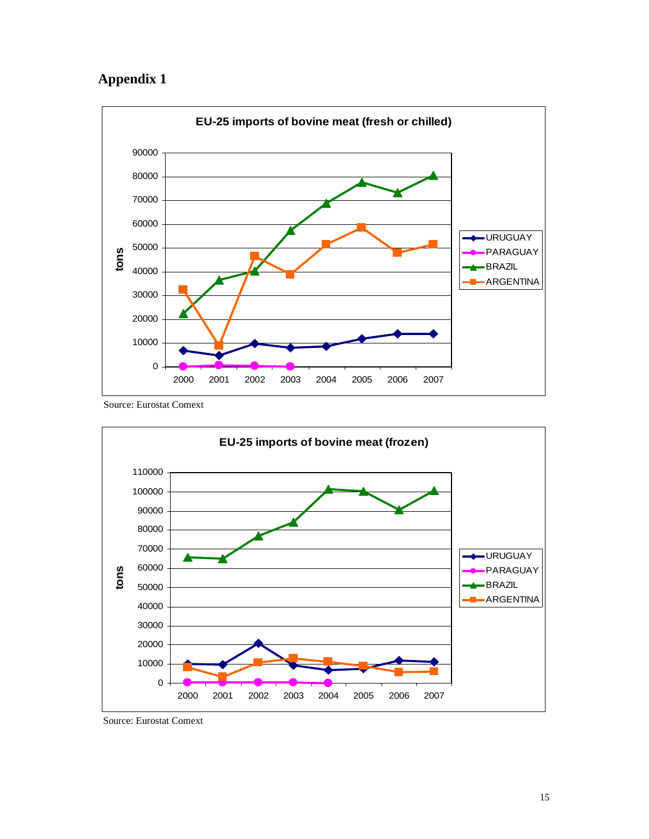### **Appendix 1**



Source: Eurostat Comext



Source: Eurostat Comext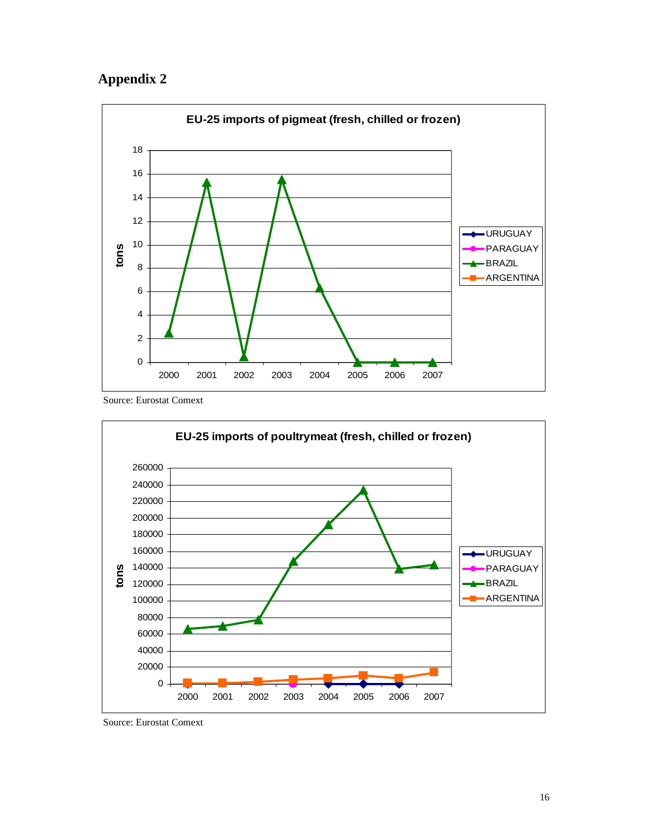### **Appendix 2**



Source: Eurostat Comext



Source: Eurostat Comext